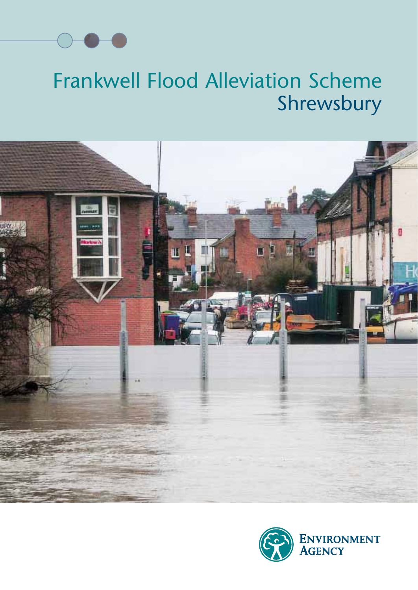

#### Frankwell Flood Alleviation Scheme Shrewsbury



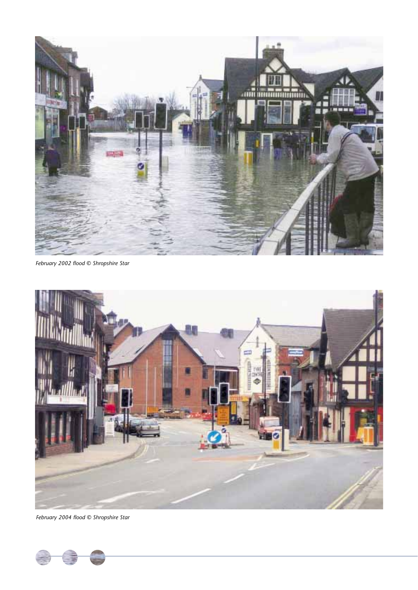

*February 2002 flood © Shropshire Star*



*February 2004 flood © Shropshire Star*

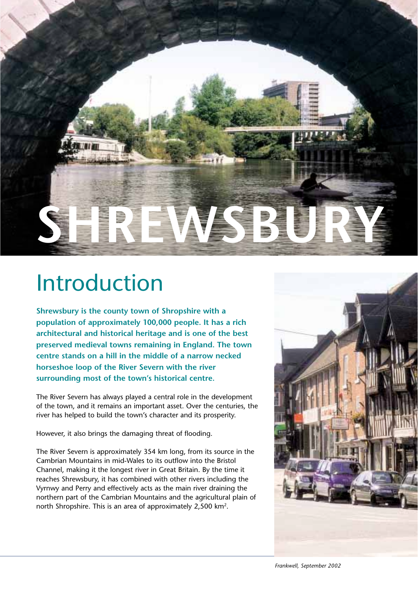

#### Introduction

**Shrewsbury is the county town of Shropshire with a population of approximately 100,000 people. It has a rich architectural and historical heritage and is one of the best preserved medieval towns remaining in England. The town centre stands on a hill in the middle of a narrow necked horseshoe loop of the River Severn with the river surrounding most of the town's historical centre.**

The River Severn has always played a central role in the development of the town, and it remains an important asset. Over the centuries, the river has helped to build the town's character and its prosperity.

However, it also brings the damaging threat of flooding.

The River Severn is approximately 354 km long, from its source in the Cambrian Mountains in mid-Wales to its outflow into the Bristol Channel, making it the longest river in Great Britain. By the time it reaches Shrewsbury, it has combined with other rivers including the Vyrnwy and Perry and effectively acts as the main river draining the northern part of the Cambrian Mountains and the agricultural plain of north Shropshire. This is an area of approximately 2,500 km<sup>2</sup>.

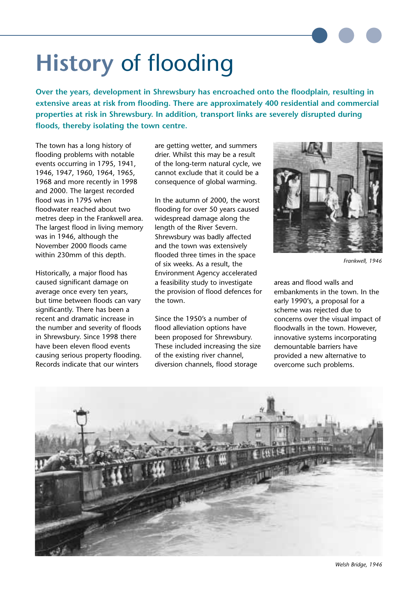# **History** of flooding

**Over the years, development in Shrewsbury has encroached onto the floodplain, resulting in extensive areas at risk from flooding. There are approximately 400 residential and commercial properties at risk in Shrewsbury. In addition, transport links are severely disrupted during floods, thereby isolating the town centre.**

The town has a long history of flooding problems with notable events occurring in 1795, 1941, 1946, 1947, 1960, 1964, 1965, 1968 and more recently in 1998 and 2000. The largest recorded flood was in 1795 when floodwater reached about two metres deep in the Frankwell area. The largest flood in living memory was in 1946, although the November 2000 floods came within 230mm of this depth.

Historically, a major flood has caused significant damage on average once every ten years, but time between floods can vary significantly. There has been a recent and dramatic increase in the number and severity of floods in Shrewsbury. Since 1998 there have been eleven flood events causing serious property flooding. Records indicate that our winters

are getting wetter, and summers drier. Whilst this may be a result of the long-term natural cycle, we cannot exclude that it could be a consequence of global warming.

In the autumn of 2000, the worst flooding for over 50 years caused widespread damage along the length of the River Severn. Shrewsbury was badly affected and the town was extensively flooded three times in the space of six weeks. As a result, the Environment Agency accelerated a feasibility study to investigate the provision of flood defences for the town.

Since the 1950's a number of flood alleviation options have been proposed for Shrewsbury. These included increasing the size of the existing river channel, diversion channels, flood storage



*Frankwell, 1946*

areas and flood walls and embankments in the town. In the early 1990's, a proposal for a scheme was rejected due to concerns over the visual impact of floodwalls in the town. However, innovative systems incorporating demountable barriers have provided a new alternative to overcome such problems.

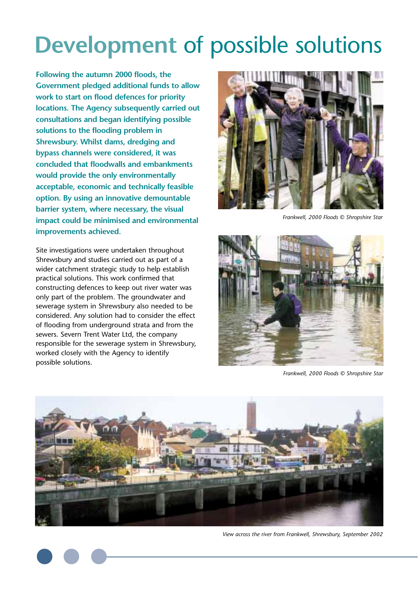### **Development** of possible solutions

**Following the autumn 2000 floods, the Government pledged additional funds to allow work to start on flood defences for priority locations. The Agency subsequently carried out consultations and began identifying possible solutions to the flooding problem in Shrewsbury. Whilst dams, dredging and bypass channels were considered, it was concluded that floodwalls and embankments would provide the only environmentally acceptable, economic and technically feasible option. By using an innovative demountable barrier system, where necessary, the visual impact could be minimised and environmental improvements achieved.**

Site investigations were undertaken throughout Shrewsbury and studies carried out as part of a wider catchment strategic study to help establish practical solutions. This work confirmed that constructing defences to keep out river water was only part of the problem. The groundwater and sewerage system in Shrewsbury also needed to be considered. Any solution had to consider the effect of flooding from underground strata and from the sewers. Severn Trent Water Ltd, the company responsible for the sewerage system in Shrewsbury, worked closely with the Agency to identify possible solutions.



*Frankwell, 2000 Floods © Shropshire Star*



*Frankwell, 2000 Floods © Shropshire Star*



*View across the river from Frankwell, Shrewsbury, September 2002*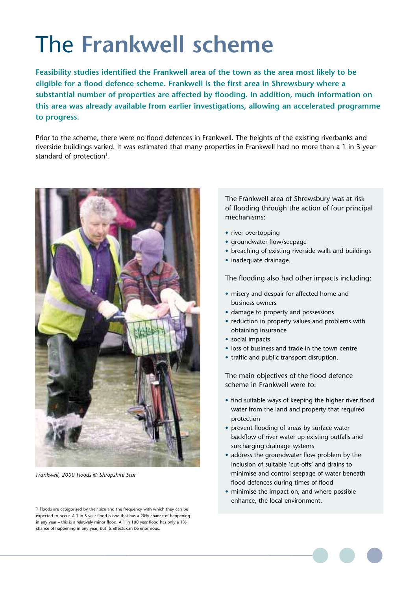# The **Frankwell scheme**

**Feasibility studies identified the Frankwell area of the town as the area most likely to be eligible for a flood defence scheme. Frankwell is the first area in Shrewsbury where a substantial number of properties are affected by flooding. In addition, much information on this area was already available from earlier investigations, allowing an accelerated programme to progress.** 

Prior to the scheme, there were no flood defences in Frankwell. The heights of the existing riverbanks and riverside buildings varied. It was estimated that many properties in Frankwell had no more than a 1 in 3 year standard of protection<sup>1</sup>.



*Frankwell, 2000 Floods © Shropshire Star*

1 Floods are categorised by their size and the frequency with which they can be expected to occur. A 1 in 5 year flood is one that has a 20% chance of happening in any year – this is a relatively minor flood. A 1 in 100 year flood has only a 1% chance of happening in any year, but its effects can be enormous.

The Frankwell area of Shrewsbury was at risk of flooding through the action of four principal mechanisms:

- river overtopping
- groundwater flow/seepage
- breaching of existing riverside walls and buildings
- inadequate drainage.

The flooding also had other impacts including:

- misery and despair for affected home and business owners
- damage to property and possessions
- reduction in property values and problems with obtaining insurance
- social impacts
- loss of business and trade in the town centre
- traffic and public transport disruption.

The main objectives of the flood defence scheme in Frankwell were to:

- find suitable ways of keeping the higher river flood water from the land and property that required protection
- prevent flooding of areas by surface water backflow of river water up existing outfalls and surcharging drainage systems
- address the groundwater flow problem by the inclusion of suitable 'cut-offs' and drains to minimise and control seepage of water beneath flood defences during times of flood
- minimise the impact on, and where possible enhance, the local environment.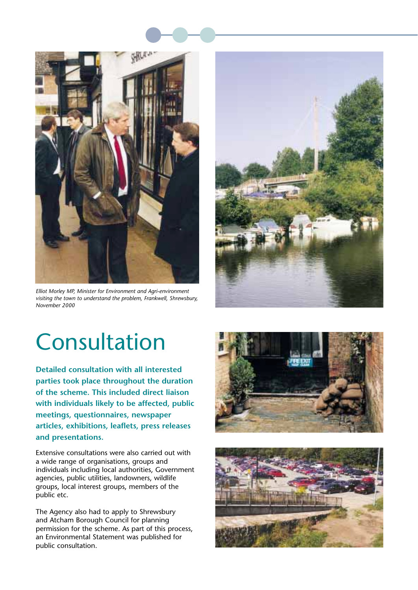



*Elliot Morley MP, Minister for Environment and Agri-environment visiting the town to understand the problem, Frankwell, Shrewsbury, November 2000*



### Consultation

**Detailed consultation with all interested parties took place throughout the duration of the scheme. This included direct liaison with individuals likely to be affected, public meetings, questionnaires, newspaper articles, exhibitions, leaflets, press releases and presentations.**

Extensive consultations were also carried out with a wide range of organisations, groups and individuals including local authorities, Government agencies, public utilities, landowners, wildlife groups, local interest groups, members of the public etc.

The Agency also had to apply to Shrewsbury and Atcham Borough Council for planning permission for the scheme. As part of this process, an Environmental Statement was published for public consultation.



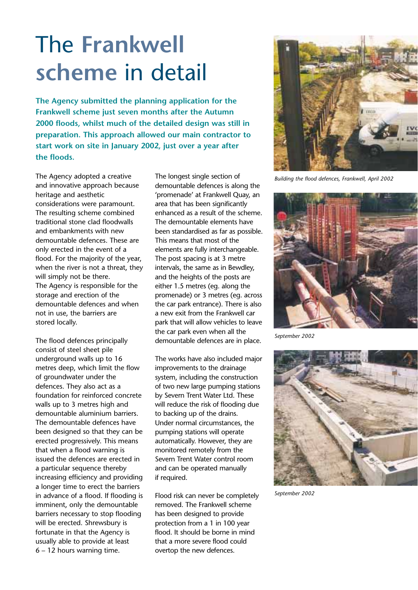### The **Frankwell scheme** in detail

**The Agency submitted the planning application for the Frankwell scheme just seven months after the Autumn 2000 floods, whilst much of the detailed design was still in preparation. This approach allowed our main contractor to start work on site in January 2002, just over a year after the floods.**

The Agency adopted a creative and innovative approach because heritage and aesthetic considerations were paramount. The resulting scheme combined traditional stone clad floodwalls and embankments with new demountable defences. These are only erected in the event of a flood. For the majority of the year, when the river is not a threat, they will simply not be there. The Agency is responsible for the storage and erection of the demountable defences and when not in use, the barriers are stored locally.

The flood defences principally consist of steel sheet pile underground walls up to 16 metres deep, which limit the flow of groundwater under the defences. They also act as a foundation for reinforced concrete walls up to 3 metres high and demountable aluminium barriers. The demountable defences have been designed so that they can be erected progressively. This means that when a flood warning is issued the defences are erected in a particular sequence thereby increasing efficiency and providing a longer time to erect the barriers in advance of a flood. If flooding is imminent, only the demountable barriers necessary to stop flooding will be erected. Shrewsbury is fortunate in that the Agency is usually able to provide at least 6 – 12 hours warning time.

The longest single section of demountable defences is along the 'promenade' at Frankwell Quay, an area that has been significantly enhanced as a result of the scheme. The demountable elements have been standardised as far as possible. This means that most of the elements are fully interchangeable. The post spacing is at 3 metre intervals, the same as in Bewdley, and the heights of the posts are either 1.5 metres (eg. along the promenade) or 3 metres (eg. across the car park entrance). There is also a new exit from the Frankwell car park that will allow vehicles to leave the car park even when all the demountable defences are in place.

The works have also included major improvements to the drainage system, including the construction of two new large pumping stations by Severn Trent Water Ltd. These will reduce the risk of flooding due to backing up of the drains. Under normal circumstances, the pumping stations will operate automatically. However, they are monitored remotely from the Severn Trent Water control room and can be operated manually if required.

Flood risk can never be completely removed. The Frankwell scheme has been designed to provide protection from a 1 in 100 year flood. It should be borne in mind that a more severe flood could overtop the new defences.



*Building the flood defences, Frankwell, April 2002*



*September 2002*



*September 2002*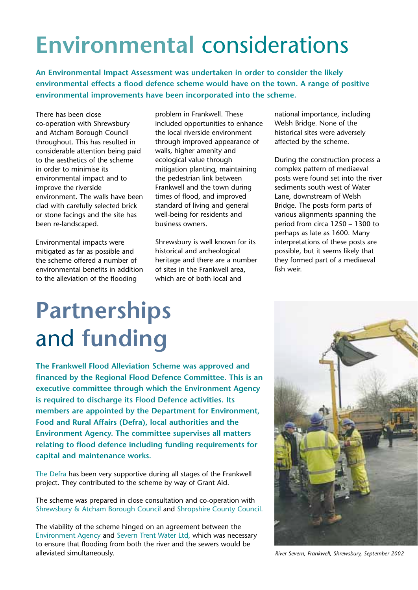# **Environmental** considerations

**An Environmental Impact Assessment was undertaken in order to consider the likely environmental effects a flood defence scheme would have on the town. A range of positive environmental improvements have been incorporated into the scheme.** 

There has been close co-operation with Shrewsbury and Atcham Borough Council throughout. This has resulted in considerable attention being paid to the aesthetics of the scheme in order to minimise its environmental impact and to improve the riverside environment. The walls have been clad with carefully selected brick or stone facings and the site has been re-landscaped.

Environmental impacts were mitigated as far as possible and the scheme offered a number of environmental benefits in addition to the alleviation of the flooding

problem in Frankwell. These included opportunities to enhance the local riverside environment through improved appearance of walls, higher amenity and ecological value through mitigation planting, maintaining the pedestrian link between Frankwell and the town during times of flood, and improved standard of living and general well-being for residents and business owners.

Shrewsbury is well known for its historical and archeological heritage and there are a number of sites in the Frankwell area, which are of both local and

national importance, including Welsh Bridge. None of the historical sites were adversely affected by the scheme.

During the construction process a complex pattern of mediaeval posts were found set into the river sediments south west of Water Lane, downstream of Welsh Bridge. The posts form parts of various alignments spanning the period from circa 1250 – 1300 to perhaps as late as 1600. Many interpretations of these posts are possible, but it seems likely that they formed part of a mediaeval fish weir.

# **Partnerships** and **funding**

**The Frankwell Flood Alleviation Scheme was approved and financed by the Regional Flood Defence Committee. This is an executive committee through which the Environment Agency is required to discharge its Flood Defence activities. Its members are appointed by the Department for Environment, Food and Rural Affairs (Defra), local authorities and the Environment Agency. The committee supervises all matters relating to flood defence including funding requirements for capital and maintenance works.**

The Defra has been very supportive during all stages of the Frankwell project. They contributed to the scheme by way of Grant Aid.

The scheme was prepared in close consultation and co-operation with Shrewsbury & Atcham Borough Council and Shropshire County Council.

The viability of the scheme hinged on an agreement between the Environment Agency and Severn Trent Water Ltd, which was necessary to ensure that flooding from both the river and the sewers would be alleviated simultaneously. *River Severn, Frankwell, Shrewsbury, September 2002*

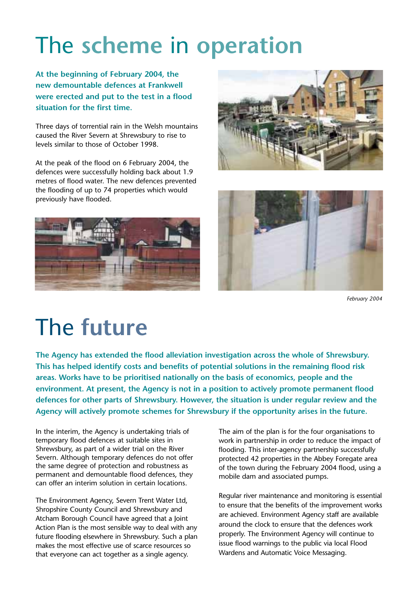# The **scheme** in **operation**

**At the beginning of February 2004, the new demountable defences at Frankwell were erected and put to the test in a flood situation for the first time.** 

Three days of torrential rain in the Welsh mountains caused the River Severn at Shrewsbury to rise to levels similar to those of October 1998.

At the peak of the flood on 6 February 2004, the defences were successfully holding back about 1.9 metres of flood water. The new defences prevented the flooding of up to 74 properties which would previously have flooded.







*February 2004*

### The **future**

**The Agency has extended the flood alleviation investigation across the whole of Shrewsbury. This has helped identify costs and benefits of potential solutions in the remaining flood risk areas. Works have to be prioritised nationally on the basis of economics, people and the environment. At present, the Agency is not in a position to actively promote permanent flood defences for other parts of Shrewsbury. However, the situation is under regular review and the Agency will actively promote schemes for Shrewsbury if the opportunity arises in the future.**

In the interim, the Agency is undertaking trials of temporary flood defences at suitable sites in Shrewsbury, as part of a wider trial on the River Severn. Although temporary defences do not offer the same degree of protection and robustness as permanent and demountable flood defences, they can offer an interim solution in certain locations.

The Environment Agency, Severn Trent Water Ltd, Shropshire County Council and Shrewsbury and Atcham Borough Council have agreed that a Joint Action Plan is the most sensible way to deal with any future flooding elsewhere in Shrewsbury. Such a plan makes the most effective use of scarce resources so that everyone can act together as a single agency.

The aim of the plan is for the four organisations to work in partnership in order to reduce the impact of flooding. This inter-agency partnership successfully protected 42 properties in the Abbey Foregate area of the town during the February 2004 flood, using a mobile dam and associated pumps.

Regular river maintenance and monitoring is essential to ensure that the benefits of the improvement works are achieved. Environment Agency staff are available around the clock to ensure that the defences work properly. The Environment Agency will continue to issue flood warnings to the public via local Flood Wardens and Automatic Voice Messaging.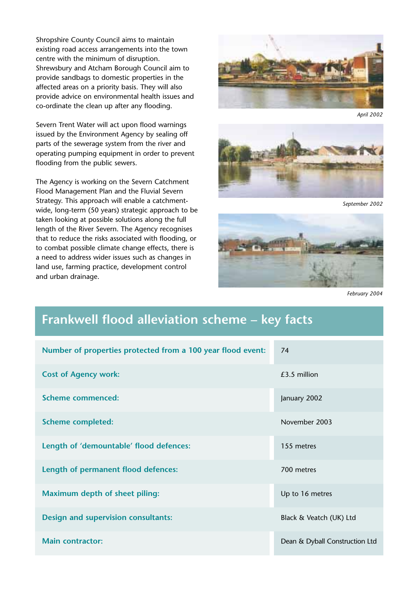Shropshire County Council aims to maintain existing road access arrangements into the town centre with the minimum of disruption. Shrewsbury and Atcham Borough Council aim to provide sandbags to domestic properties in the affected areas on a priority basis. They will also provide advice on environmental health issues and co-ordinate the clean up after any flooding.

Severn Trent Water will act upon flood warnings issued by the Environment Agency by sealing off parts of the sewerage system from the river and operating pumping equipment in order to prevent flooding from the public sewers.

The Agency is working on the Severn Catchment Flood Management Plan and the Fluvial Severn Strategy. This approach will enable a catchmentwide, long-term (50 years) strategic approach to be taken looking at possible solutions along the full length of the River Severn. The Agency recognises that to reduce the risks associated with flooding, or to combat possible climate change effects, there is a need to address wider issues such as changes in land use, farming practice, development control and urban drainage.



*April 2002*



*September 2002*



*February 2004*

#### **Frankwell flood alleviation scheme – key facts**

| Number of properties protected from a 100 year flood event: | 74                             |
|-------------------------------------------------------------|--------------------------------|
| <b>Cost of Agency work:</b>                                 | £3.5 million                   |
| <b>Scheme commenced:</b>                                    | January 2002                   |
| <b>Scheme completed:</b>                                    | November 2003                  |
| Length of 'demountable' flood defences:                     | 155 metres                     |
| Length of permanent flood defences:                         | 700 metres                     |
| <b>Maximum depth of sheet piling:</b>                       | Up to 16 metres                |
| <b>Design and supervision consultants:</b>                  | Black & Veatch (UK) Ltd        |
| <b>Main contractor:</b>                                     | Dean & Dyball Construction Ltd |